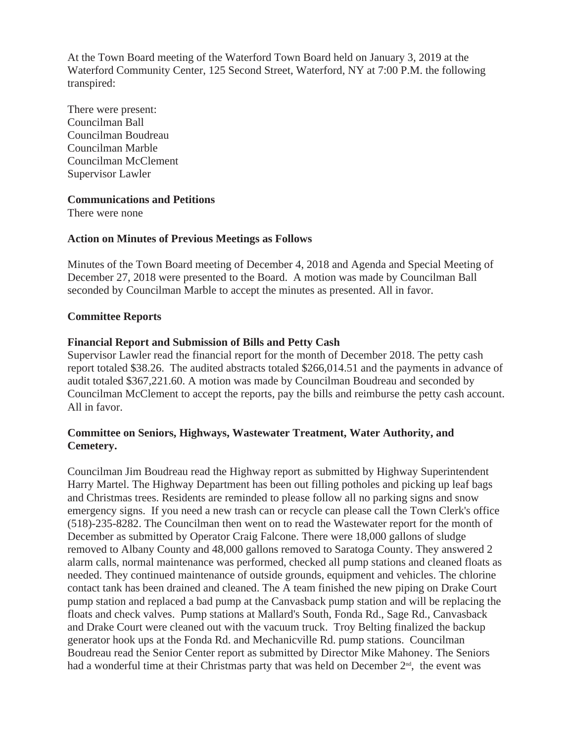At the Town Board meeting of the Waterford Town Board held on January 3, 2019 at the Waterford Community Center, 125 Second Street, Waterford, NY at 7:00 P.M. the following transpired:

There were present: Councilman Ball Councilman Boudreau Councilman Marble Councilman McClement Supervisor Lawler

### **Communications and Petitions**

There were none

## **Action on Minutes of Previous Meetings as Follows**

Minutes of the Town Board meeting of December 4, 2018 and Agenda and Special Meeting of December 27, 2018 were presented to the Board. A motion was made by Councilman Ball seconded by Councilman Marble to accept the minutes as presented. All in favor.

## **Committee Reports**

## **Financial Report and Submission of Bills and Petty Cash**

Supervisor Lawler read the financial report for the month of December 2018. The petty cash report totaled \$38.26. The audited abstracts totaled \$266,014.51 and the payments in advance of audit totaled \$367,221.60. A motion was made by Councilman Boudreau and seconded by Councilman McClement to accept the reports, pay the bills and reimburse the petty cash account. All in favor.

# **Committee on Seniors, Highways, Wastewater Treatment, Water Authority, and Cemetery.**

Councilman Jim Boudreau read the Highway report as submitted by Highway Superintendent Harry Martel. The Highway Department has been out filling potholes and picking up leaf bags and Christmas trees. Residents are reminded to please follow all no parking signs and snow emergency signs. If you need a new trash can or recycle can please call the Town Clerk's office (518)-235-8282. The Councilman then went on to read the Wastewater report for the month of December as submitted by Operator Craig Falcone. There were 18,000 gallons of sludge removed to Albany County and 48,000 gallons removed to Saratoga County. They answered 2 alarm calls, normal maintenance was performed, checked all pump stations and cleaned floats as needed. They continued maintenance of outside grounds, equipment and vehicles. The chlorine contact tank has been drained and cleaned. The A team finished the new piping on Drake Court pump station and replaced a bad pump at the Canvasback pump station and will be replacing the floats and check valves. Pump stations at Mallard's South, Fonda Rd., Sage Rd., Canvasback and Drake Court were cleaned out with the vacuum truck. Troy Belting finalized the backup generator hook ups at the Fonda Rd. and Mechanicville Rd. pump stations. Councilman Boudreau read the Senior Center report as submitted by Director Mike Mahoney. The Seniors had a wonderful time at their Christmas party that was held on December 2<sup>nd</sup>, the event was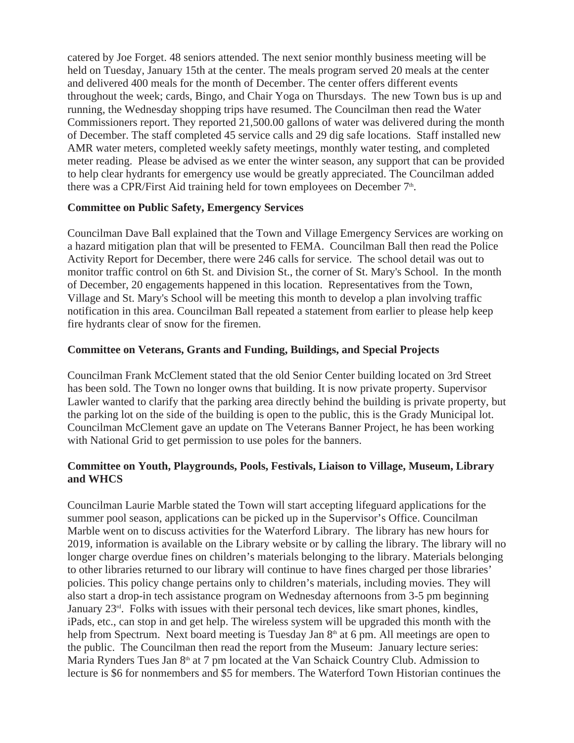catered by Joe Forget. 48 seniors attended. The next senior monthly business meeting will be held on Tuesday, January 15th at the center. The meals program served 20 meals at the center and delivered 400 meals for the month of December. The center offers different events throughout the week; cards, Bingo, and Chair Yoga on Thursdays. The new Town bus is up and running, the Wednesday shopping trips have resumed. The Councilman then read the Water Commissioners report. They reported 21,500.00 gallons of water was delivered during the month of December. The staff completed 45 service calls and 29 dig safe locations. Staff installed new AMR water meters, completed weekly safety meetings, monthly water testing, and completed meter reading. Please be advised as we enter the winter season, any support that can be provided to help clear hydrants for emergency use would be greatly appreciated. The Councilman added there was a CPR/First Aid training held for town employees on December 7<sup>th</sup>.

### **Committee on Public Safety, Emergency Services**

Councilman Dave Ball explained that the Town and Village Emergency Services are working on a hazard mitigation plan that will be presented to FEMA. Councilman Ball then read the Police Activity Report for December, there were 246 calls for service. The school detail was out to monitor traffic control on 6th St. and Division St., the corner of St. Mary's School. In the month of December, 20 engagements happened in this location. Representatives from the Town, Village and St. Mary's School will be meeting this month to develop a plan involving traffic notification in this area. Councilman Ball repeated a statement from earlier to please help keep fire hydrants clear of snow for the firemen.

## **Committee on Veterans, Grants and Funding, Buildings, and Special Projects**

Councilman Frank McClement stated that the old Senior Center building located on 3rd Street has been sold. The Town no longer owns that building. It is now private property. Supervisor Lawler wanted to clarify that the parking area directly behind the building is private property, but the parking lot on the side of the building is open to the public, this is the Grady Municipal lot. Councilman McClement gave an update on The Veterans Banner Project, he has been working with National Grid to get permission to use poles for the banners.

## **Committee on Youth, Playgrounds, Pools, Festivals, Liaison to Village, Museum, Library and WHCS**

Councilman Laurie Marble stated the Town will start accepting lifeguard applications for the summer pool season, applications can be picked up in the Supervisor's Office. Councilman Marble went on to discuss activities for the Waterford Library. The library has new hours for 2019, information is available on the Library website or by calling the library. The library will no longer charge overdue fines on children's materials belonging to the library. Materials belonging to other libraries returned to our library will continue to have fines charged per those libraries' policies. This policy change pertains only to children's materials, including movies. They will also start a drop-in tech assistance program on Wednesday afternoons from 3-5 pm beginning January  $23<sup>rd</sup>$ . Folks with issues with their personal tech devices, like smart phones, kindles, iPads, etc., can stop in and get help. The wireless system will be upgraded this month with the help from Spectrum. Next board meeting is Tuesday Jan 8<sup>th</sup> at 6 pm. All meetings are open to the public. The Councilman then read the report from the Museum: January lecture series: Maria Rynders Tues Jan  $8<sup>th</sup>$  at 7 pm located at the Van Schaick Country Club. Admission to lecture is \$6 for nonmembers and \$5 for members. The Waterford Town Historian continues the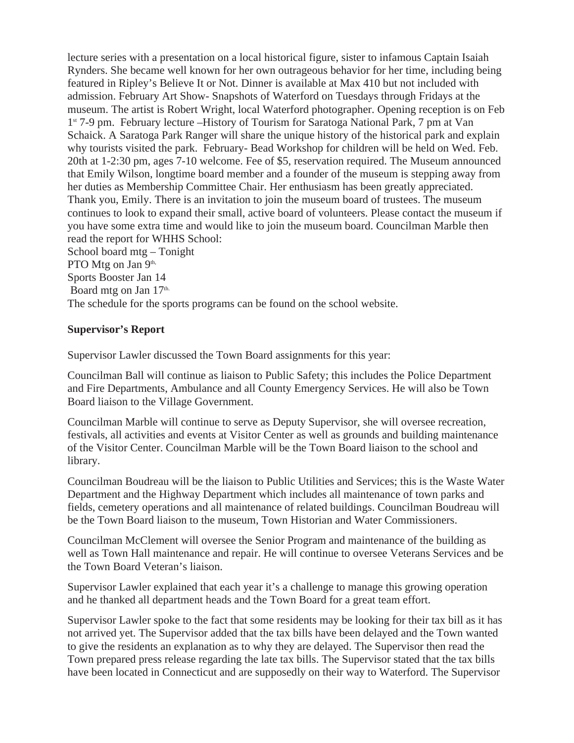lecture series with a presentation on a local historical figure, sister to infamous Captain Isaiah Rynders. She became well known for her own outrageous behavior for her time, including being featured in Ripley's Believe It or Not. Dinner is available at Max 410 but not included with admission. February Art Show- Snapshots of Waterford on Tuesdays through Fridays at the museum. The artist is Robert Wright, local Waterford photographer. Opening reception is on Feb 1st 7-9 pm. February lecture –History of Tourism for Saratoga National Park, 7 pm at Van Schaick. A Saratoga Park Ranger will share the unique history of the historical park and explain why tourists visited the park. February- Bead Workshop for children will be held on Wed. Feb. 20th at 1-2:30 pm, ages 7-10 welcome. Fee of \$5, reservation required. The Museum announced that Emily Wilson, longtime board member and a founder of the museum is stepping away from her duties as Membership Committee Chair. Her enthusiasm has been greatly appreciated. Thank you, Emily. There is an invitation to join the museum board of trustees. The museum continues to look to expand their small, active board of volunteers. Please contact the museum if you have some extra time and would like to join the museum board. Councilman Marble then read the report for WHHS School: School board mtg – Tonight PTO Mtg on Jan 9<sup>th,</sup> Sports Booster Jan 14 Board mtg on Jan 17<sup>th.</sup>

The schedule for the sports programs can be found on the school website.

## **Supervisor's Report**

Supervisor Lawler discussed the Town Board assignments for this year:

Councilman Ball will continue as liaison to Public Safety; this includes the Police Department and Fire Departments, Ambulance and all County Emergency Services. He will also be Town Board liaison to the Village Government.

Councilman Marble will continue to serve as Deputy Supervisor, she will oversee recreation, festivals, all activities and events at Visitor Center as well as grounds and building maintenance of the Visitor Center. Councilman Marble will be the Town Board liaison to the school and library.

Councilman Boudreau will be the liaison to Public Utilities and Services; this is the Waste Water Department and the Highway Department which includes all maintenance of town parks and fields, cemetery operations and all maintenance of related buildings. Councilman Boudreau will be the Town Board liaison to the museum, Town Historian and Water Commissioners.

Councilman McClement will oversee the Senior Program and maintenance of the building as well as Town Hall maintenance and repair. He will continue to oversee Veterans Services and be the Town Board Veteran's liaison.

Supervisor Lawler explained that each year it's a challenge to manage this growing operation and he thanked all department heads and the Town Board for a great team effort.

Supervisor Lawler spoke to the fact that some residents may be looking for their tax bill as it has not arrived yet. The Supervisor added that the tax bills have been delayed and the Town wanted to give the residents an explanation as to why they are delayed. The Supervisor then read the Town prepared press release regarding the late tax bills. The Supervisor stated that the tax bills have been located in Connecticut and are supposedly on their way to Waterford. The Supervisor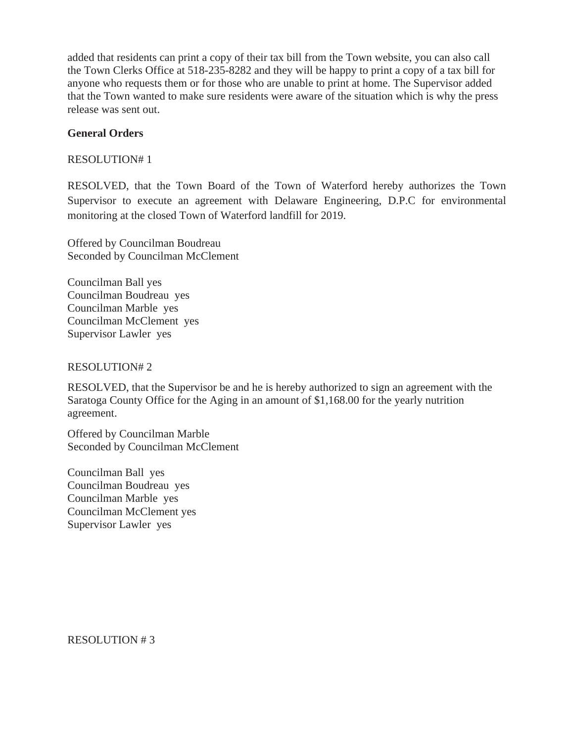added that residents can print a copy of their tax bill from the Town website, you can also call the Town Clerks Office at 518-235-8282 and they will be happy to print a copy of a tax bill for anyone who requests them or for those who are unable to print at home. The Supervisor added that the Town wanted to make sure residents were aware of the situation which is why the press release was sent out.

## **General Orders**

RESOLUTION# 1

RESOLVED, that the Town Board of the Town of Waterford hereby authorizes the Town Supervisor to execute an agreement with Delaware Engineering, D.P.C for environmental monitoring at the closed Town of Waterford landfill for 2019.

Offered by Councilman Boudreau Seconded by Councilman McClement

Councilman Ball yes Councilman Boudreau yes Councilman Marble yes Councilman McClement yes Supervisor Lawler yes

RESOLUTION# 2

RESOLVED, that the Supervisor be and he is hereby authorized to sign an agreement with the Saratoga County Office for the Aging in an amount of \$1,168.00 for the yearly nutrition agreement.

Offered by Councilman Marble Seconded by Councilman McClement

Councilman Ball yes Councilman Boudreau yes Councilman Marble yes Councilman McClement yes Supervisor Lawler yes

RESOLUTION # 3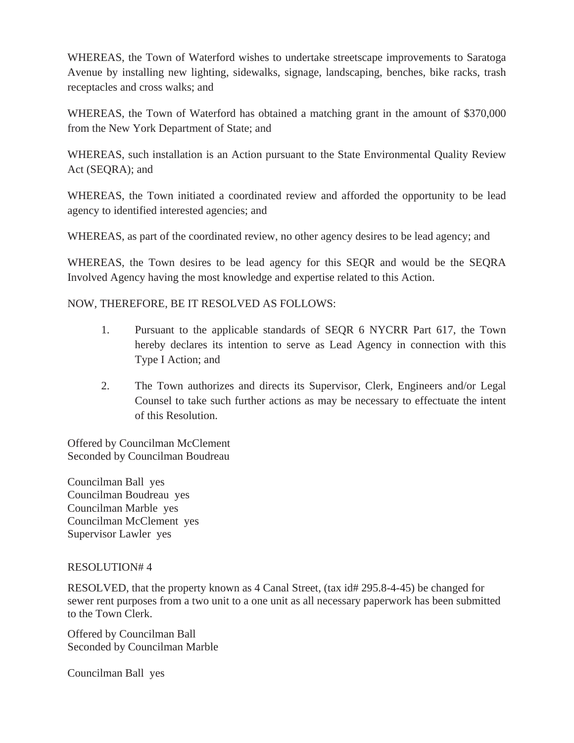WHEREAS, the Town of Waterford wishes to undertake streetscape improvements to Saratoga Avenue by installing new lighting, sidewalks, signage, landscaping, benches, bike racks, trash receptacles and cross walks; and

WHEREAS, the Town of Waterford has obtained a matching grant in the amount of \$370,000 from the New York Department of State; and

WHEREAS, such installation is an Action pursuant to the State Environmental Quality Review Act (SEQRA); and

WHEREAS, the Town initiated a coordinated review and afforded the opportunity to be lead agency to identified interested agencies; and

WHEREAS, as part of the coordinated review, no other agency desires to be lead agency; and

WHEREAS, the Town desires to be lead agency for this SEQR and would be the SEQRA Involved Agency having the most knowledge and expertise related to this Action.

## NOW, THEREFORE, BE IT RESOLVED AS FOLLOWS:

- 1. Pursuant to the applicable standards of SEQR 6 NYCRR Part 617, the Town hereby declares its intention to serve as Lead Agency in connection with this Type I Action; and
- 2. The Town authorizes and directs its Supervisor, Clerk, Engineers and/or Legal Counsel to take such further actions as may be necessary to effectuate the intent of this Resolution.

Offered by Councilman McClement Seconded by Councilman Boudreau

Councilman Ball yes Councilman Boudreau yes Councilman Marble yes Councilman McClement yes Supervisor Lawler yes

### RESOLUTION# 4

RESOLVED, that the property known as 4 Canal Street, (tax id# 295.8-4-45) be changed for sewer rent purposes from a two unit to a one unit as all necessary paperwork has been submitted to the Town Clerk.

Offered by Councilman Ball Seconded by Councilman Marble

Councilman Ball yes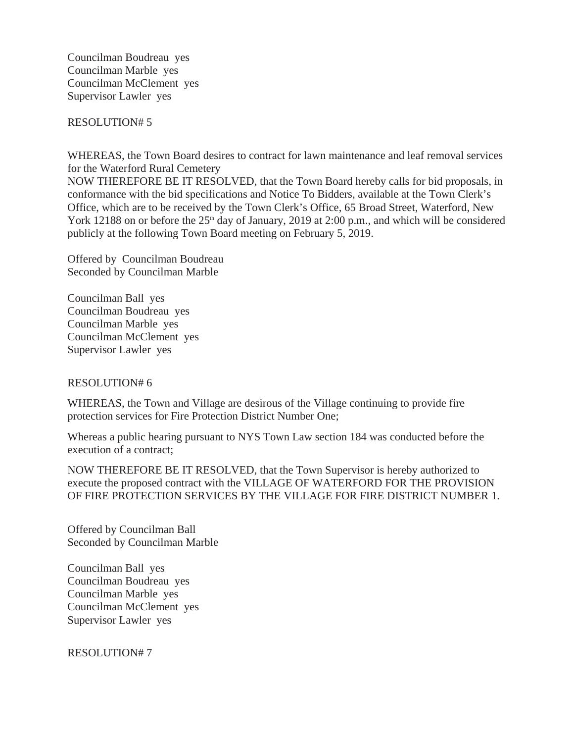Councilman Boudreau yes Councilman Marble yes Councilman McClement yes Supervisor Lawler yes

RESOLUTION# 5

WHEREAS, the Town Board desires to contract for lawn maintenance and leaf removal services for the Waterford Rural Cemetery

NOW THEREFORE BE IT RESOLVED, that the Town Board hereby calls for bid proposals, in conformance with the bid specifications and Notice To Bidders, available at the Town Clerk's Office, which are to be received by the Town Clerk's Office, 65 Broad Street, Waterford, New York 12188 on or before the  $25<sup>th</sup>$  day of January, 2019 at 2:00 p.m., and which will be considered publicly at the following Town Board meeting on February 5, 2019.

Offered by Councilman Boudreau Seconded by Councilman Marble

Councilman Ball yes Councilman Boudreau yes Councilman Marble yes Councilman McClement yes Supervisor Lawler yes

### RESOLUTION# 6

WHEREAS, the Town and Village are desirous of the Village continuing to provide fire protection services for Fire Protection District Number One;

Whereas a public hearing pursuant to NYS Town Law section 184 was conducted before the execution of a contract;

NOW THEREFORE BE IT RESOLVED, that the Town Supervisor is hereby authorized to execute the proposed contract with the VILLAGE OF WATERFORD FOR THE PROVISION OF FIRE PROTECTION SERVICES BY THE VILLAGE FOR FIRE DISTRICT NUMBER 1.

Offered by Councilman Ball Seconded by Councilman Marble

Councilman Ball yes Councilman Boudreau yes Councilman Marble yes Councilman McClement yes Supervisor Lawler yes

RESOLUTION# 7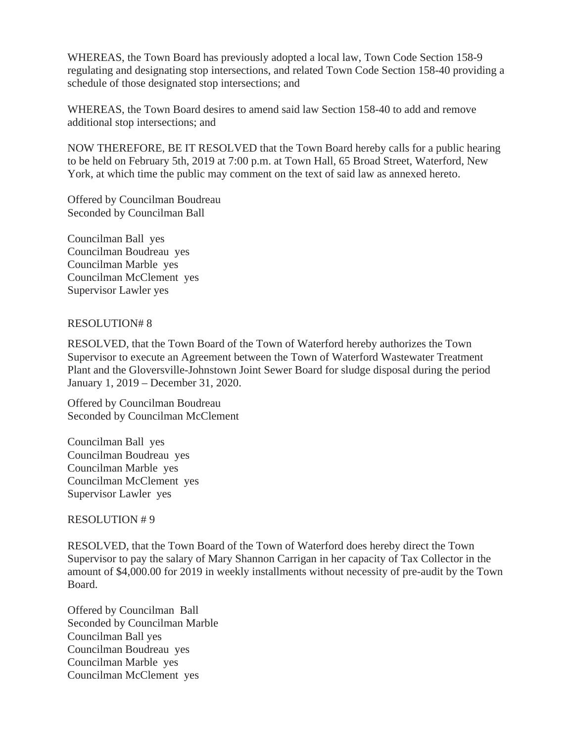WHEREAS, the Town Board has previously adopted a local law, Town Code Section 158-9 regulating and designating stop intersections, and related Town Code Section 158-40 providing a schedule of those designated stop intersections; and

WHEREAS, the Town Board desires to amend said law Section 158-40 to add and remove additional stop intersections; and

NOW THEREFORE, BE IT RESOLVED that the Town Board hereby calls for a public hearing to be held on February 5th, 2019 at 7:00 p.m. at Town Hall, 65 Broad Street, Waterford, New York, at which time the public may comment on the text of said law as annexed hereto.

Offered by Councilman Boudreau Seconded by Councilman Ball

Councilman Ball yes Councilman Boudreau yes Councilman Marble yes Councilman McClement yes Supervisor Lawler yes

### RESOLUTION# 8

RESOLVED, that the Town Board of the Town of Waterford hereby authorizes the Town Supervisor to execute an Agreement between the Town of Waterford Wastewater Treatment Plant and the Gloversville-Johnstown Joint Sewer Board for sludge disposal during the period January 1, 2019 – December 31, 2020.

Offered by Councilman Boudreau Seconded by Councilman McClement

Councilman Ball yes Councilman Boudreau yes Councilman Marble yes Councilman McClement yes Supervisor Lawler yes

### RESOLUTION # 9

RESOLVED, that the Town Board of the Town of Waterford does hereby direct the Town Supervisor to pay the salary of Mary Shannon Carrigan in her capacity of Tax Collector in the amount of \$4,000.00 for 2019 in weekly installments without necessity of pre-audit by the Town Board.

Offered by Councilman Ball Seconded by Councilman Marble Councilman Ball yes Councilman Boudreau yes Councilman Marble yes Councilman McClement yes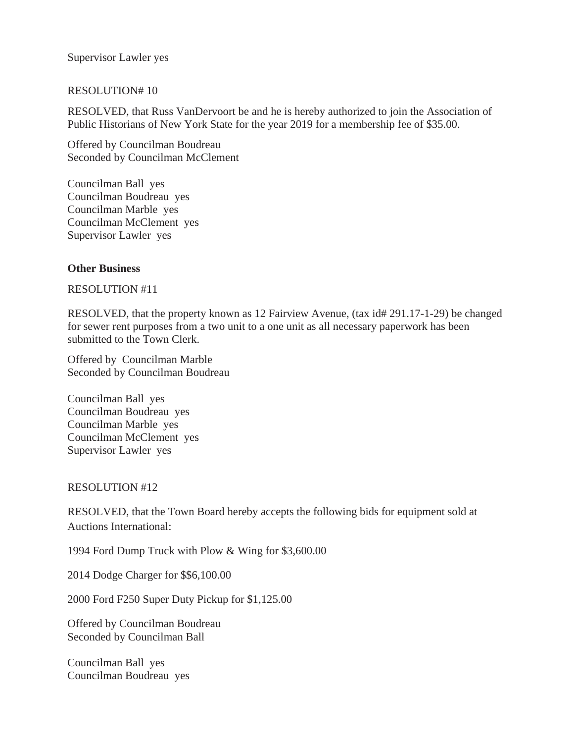Supervisor Lawler yes

### RESOLUTION# 10

RESOLVED, that Russ VanDervoort be and he is hereby authorized to join the Association of Public Historians of New York State for the year 2019 for a membership fee of \$35.00.

Offered by Councilman Boudreau Seconded by Councilman McClement

Councilman Ball yes Councilman Boudreau yes Councilman Marble yes Councilman McClement yes Supervisor Lawler yes

#### **Other Business**

#### RESOLUTION #11

RESOLVED, that the property known as 12 Fairview Avenue, (tax id# 291.17-1-29) be changed for sewer rent purposes from a two unit to a one unit as all necessary paperwork has been submitted to the Town Clerk.

Offered by Councilman Marble Seconded by Councilman Boudreau

Councilman Ball yes Councilman Boudreau yes Councilman Marble yes Councilman McClement yes Supervisor Lawler yes

#### RESOLUTION #12

RESOLVED, that the Town Board hereby accepts the following bids for equipment sold at Auctions International:

1994 Ford Dump Truck with Plow & Wing for \$3,600.00

2014 Dodge Charger for \$\$6,100.00

2000 Ford F250 Super Duty Pickup for \$1,125.00

Offered by Councilman Boudreau Seconded by Councilman Ball

Councilman Ball yes Councilman Boudreau yes